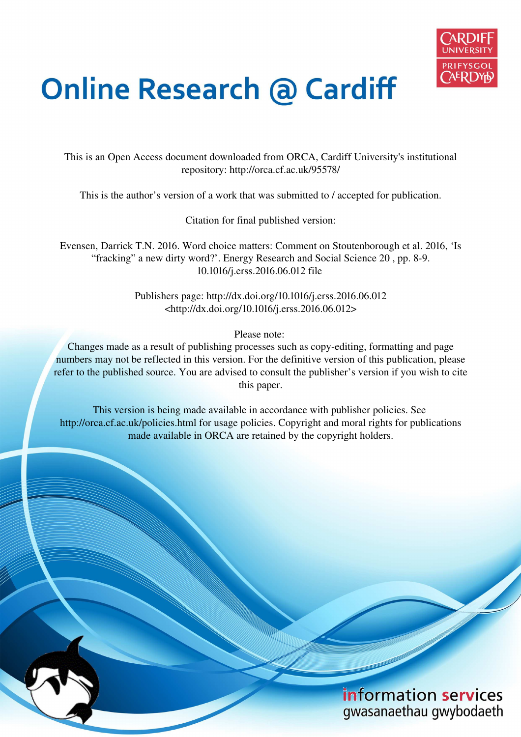

# **Online Research @ Cardiff**

This is an Open Access document downloaded from ORCA, Cardiff University's institutional repository: http://orca.cf.ac.uk/95578/

This is the author's version of a work that was submitted to / accepted for publication.

Citation for final published version:

Evensen, Darrick T.N. 2016. Word choice matters: Comment on Stoutenborough et al. 2016, 'Is "fracking" a new dirty word?'. Energy Research and Social Science 20 , pp. 8-9. 10.1016/j.erss.2016.06.012 file

> Publishers page: http://dx.doi.org/10.1016/j.erss.2016.06.012 <http://dx.doi.org/10.1016/j.erss.2016.06.012>

> > Please note:

Changes made as a result of publishing processes such as copy-editing, formatting and page numbers may not be reflected in this version. For the definitive version of this publication, please refer to the published source. You are advised to consult the publisher's version if you wish to cite this paper.

This version is being made available in accordance with publisher policies. See http://orca.cf.ac.uk/policies.html for usage policies. Copyright and moral rights for publications made available in ORCA are retained by the copyright holders.

# information services gwasanaethau gwybodaeth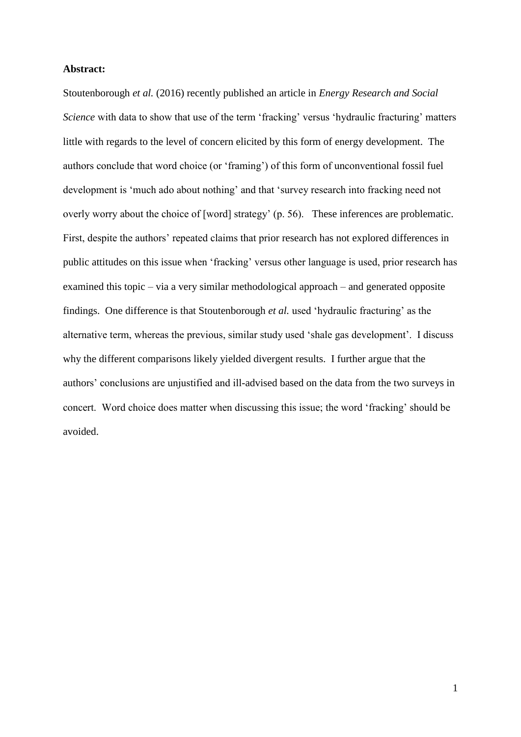## **Abstract:**

Stoutenborough *et al.* (2016) recently published an article in *Energy Research and Social Science* with data to show that use of the term 'fracking' versus 'hydraulic fracturing' matters little with regards to the level of concern elicited by this form of energy development. The authors conclude that word choice (or 'framing') of this form of unconventional fossil fuel development is 'much ado about nothing' and that 'survey research into fracking need not overly worry about the choice of [word] strategy' (p. 56). These inferences are problematic. First, despite the authors' repeated claims that prior research has not explored differences in public attitudes on this issue when 'fracking' versus other language is used, prior research has examined this topic – via a very similar methodological approach – and generated opposite findings. One difference is that Stoutenborough *et al.* used 'hydraulic fracturing' as the alternative term, whereas the previous, similar study used 'shale gas development'. I discuss why the different comparisons likely yielded divergent results. I further argue that the authors' conclusions are unjustified and ill-advised based on the data from the two surveys in concert. Word choice does matter when discussing this issue; the word 'fracking' should be avoided.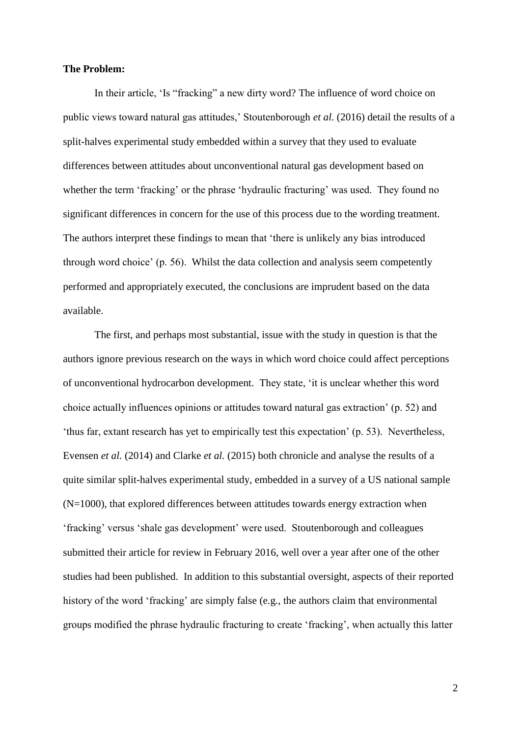### **The Problem:**

In their article, 'Is "fracking" a new dirty word? The influence of word choice on public views toward natural gas attitudes,' Stoutenborough *et al.* (2016) detail the results of a split-halves experimental study embedded within a survey that they used to evaluate differences between attitudes about unconventional natural gas development based on whether the term 'fracking' or the phrase 'hydraulic fracturing' was used. They found no significant differences in concern for the use of this process due to the wording treatment. The authors interpret these findings to mean that 'there is unlikely any bias introduced through word choice' (p. 56). Whilst the data collection and analysis seem competently performed and appropriately executed, the conclusions are imprudent based on the data available.

 The first, and perhaps most substantial, issue with the study in question is that the authors ignore previous research on the ways in which word choice could affect perceptions of unconventional hydrocarbon development. They state, 'it is unclear whether this word choice actually influences opinions or attitudes toward natural gas extraction' (p. 52) and 'thus far, extant research has yet to empirically test this expectation' (p. 53). Nevertheless, Evensen *et al.* (2014) and Clarke *et al.* (2015) both chronicle and analyse the results of a quite similar split-halves experimental study, embedded in a survey of a US national sample (N=1000), that explored differences between attitudes towards energy extraction when 'fracking' versus 'shale gas development' were used. Stoutenborough and colleagues submitted their article for review in February 2016, well over a year after one of the other studies had been published. In addition to this substantial oversight, aspects of their reported history of the word 'fracking' are simply false (e.g., the authors claim that environmental groups modified the phrase hydraulic fracturing to create 'fracking', when actually this latter

2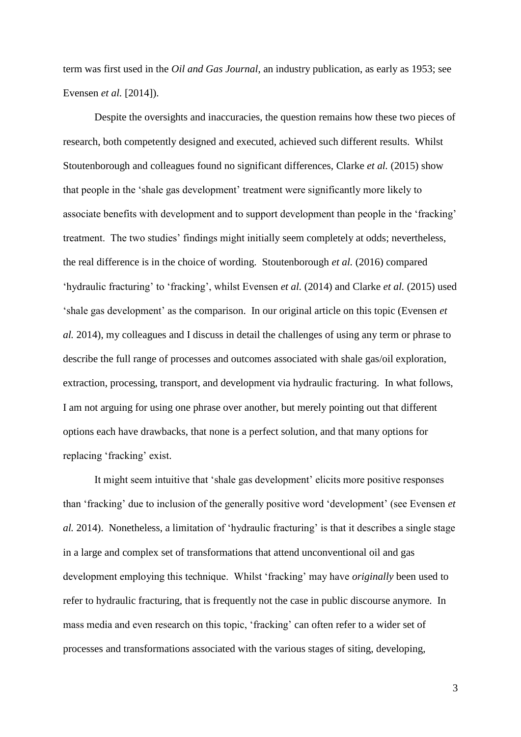term was first used in the *Oil and Gas Journal*, an industry publication, as early as 1953; see Evensen *et al.* [2014]).

 Despite the oversights and inaccuracies, the question remains how these two pieces of research, both competently designed and executed, achieved such different results. Whilst Stoutenborough and colleagues found no significant differences, Clarke *et al.* (2015) show that people in the 'shale gas development' treatment were significantly more likely to associate benefits with development and to support development than people in the 'fracking' treatment. The two studies' findings might initially seem completely at odds; nevertheless, the real difference is in the choice of wording. Stoutenborough *et al.* (2016) compared 'hydraulic fracturing' to 'fracking', whilst Evensen *et al.* (2014) and Clarke *et al.* (2015) used 'shale gas development' as the comparison. In our original article on this topic (Evensen *et al.* 2014), my colleagues and I discuss in detail the challenges of using any term or phrase to describe the full range of processes and outcomes associated with shale gas/oil exploration, extraction, processing, transport, and development via hydraulic fracturing. In what follows, I am not arguing for using one phrase over another, but merely pointing out that different options each have drawbacks, that none is a perfect solution, and that many options for replacing 'fracking' exist.

It might seem intuitive that 'shale gas development' elicits more positive responses than 'fracking' due to inclusion of the generally positive word 'development' (see Evensen *et al.* 2014). Nonetheless, a limitation of 'hydraulic fracturing' is that it describes a single stage in a large and complex set of transformations that attend unconventional oil and gas development employing this technique. Whilst 'fracking' may have *originally* been used to refer to hydraulic fracturing, that is frequently not the case in public discourse anymore. In mass media and even research on this topic, 'fracking' can often refer to a wider set of processes and transformations associated with the various stages of siting, developing,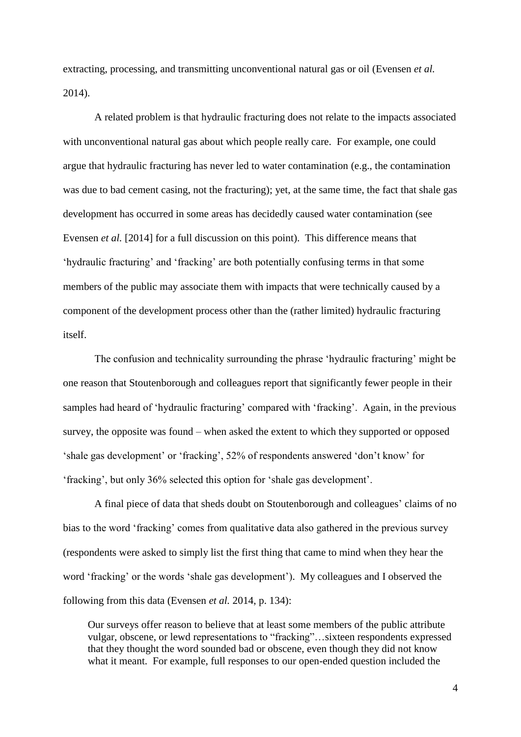extracting, processing, and transmitting unconventional natural gas or oil (Evensen *et al.*  2014).

A related problem is that hydraulic fracturing does not relate to the impacts associated with unconventional natural gas about which people really care. For example, one could argue that hydraulic fracturing has never led to water contamination (e.g., the contamination was due to bad cement casing, not the fracturing); yet, at the same time, the fact that shale gas development has occurred in some areas has decidedly caused water contamination (see Evensen *et al.* [2014] for a full discussion on this point). This difference means that 'hydraulic fracturing' and 'fracking' are both potentially confusing terms in that some members of the public may associate them with impacts that were technically caused by a component of the development process other than the (rather limited) hydraulic fracturing itself.

The confusion and technicality surrounding the phrase 'hydraulic fracturing' might be one reason that Stoutenborough and colleagues report that significantly fewer people in their samples had heard of 'hydraulic fracturing' compared with 'fracking'. Again, in the previous survey, the opposite was found – when asked the extent to which they supported or opposed 'shale gas development' or 'fracking', 52% of respondents answered 'don't know' for 'fracking', but only 36% selected this option for 'shale gas development'.

A final piece of data that sheds doubt on Stoutenborough and colleagues' claims of no bias to the word 'fracking' comes from qualitative data also gathered in the previous survey (respondents were asked to simply list the first thing that came to mind when they hear the word 'fracking' or the words 'shale gas development'). My colleagues and I observed the following from this data (Evensen *et al.* 2014, p. 134):

Our surveys offer reason to believe that at least some members of the public attribute vulgar, obscene, or lewd representations to "fracking"…sixteen respondents expressed that they thought the word sounded bad or obscene, even though they did not know what it meant. For example, full responses to our open-ended question included the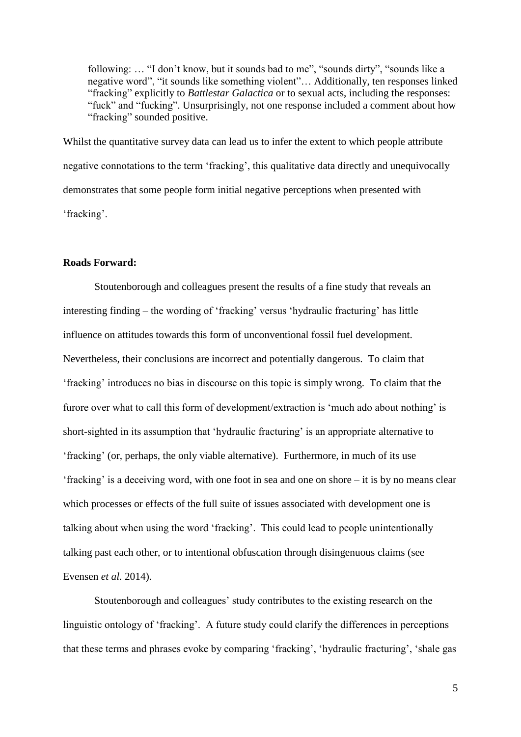following: … "I don't know, but it sounds bad to me", "sounds dirty", "sounds like a negative word", "it sounds like something violent"… Additionally, ten responses linked "fracking" explicitly to *Battlestar Galactica* or to sexual acts, including the responses: "fuck" and "fucking". Unsurprisingly, not one response included a comment about how "fracking" sounded positive.

Whilst the quantitative survey data can lead us to infer the extent to which people attribute negative connotations to the term 'fracking', this qualitative data directly and unequivocally demonstrates that some people form initial negative perceptions when presented with 'fracking'.

### **Roads Forward:**

 Stoutenborough and colleagues present the results of a fine study that reveals an interesting finding – the wording of 'fracking' versus 'hydraulic fracturing' has little influence on attitudes towards this form of unconventional fossil fuel development. Nevertheless, their conclusions are incorrect and potentially dangerous. To claim that 'fracking' introduces no bias in discourse on this topic is simply wrong. To claim that the furore over what to call this form of development/extraction is 'much ado about nothing' is short-sighted in its assumption that 'hydraulic fracturing' is an appropriate alternative to 'fracking' (or, perhaps, the only viable alternative). Furthermore, in much of its use 'fracking' is a deceiving word, with one foot in sea and one on shore – it is by no means clear which processes or effects of the full suite of issues associated with development one is talking about when using the word 'fracking'. This could lead to people unintentionally talking past each other, or to intentional obfuscation through disingenuous claims (see Evensen *et al.* 2014).

Stoutenborough and colleagues' study contributes to the existing research on the linguistic ontology of 'fracking'. A future study could clarify the differences in perceptions that these terms and phrases evoke by comparing 'fracking', 'hydraulic fracturing', 'shale gas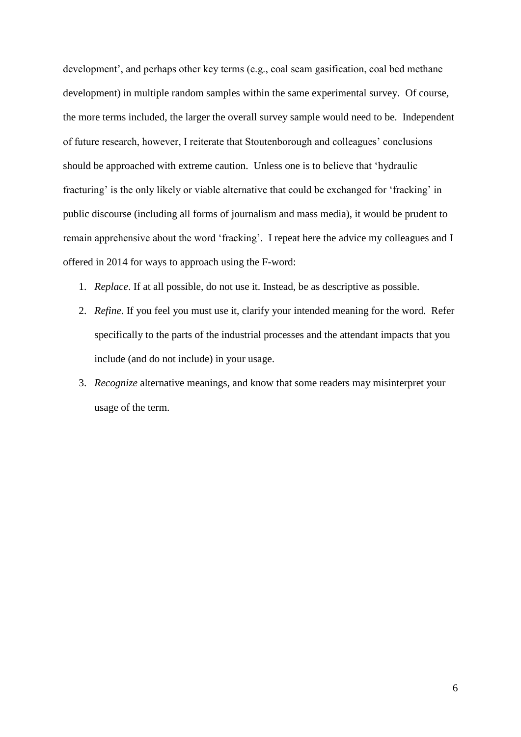development', and perhaps other key terms (e.g., coal seam gasification, coal bed methane development) in multiple random samples within the same experimental survey. Of course, the more terms included, the larger the overall survey sample would need to be. Independent of future research, however, I reiterate that Stoutenborough and colleagues' conclusions should be approached with extreme caution. Unless one is to believe that 'hydraulic fracturing' is the only likely or viable alternative that could be exchanged for 'fracking' in public discourse (including all forms of journalism and mass media), it would be prudent to remain apprehensive about the word 'fracking'. I repeat here the advice my colleagues and I offered in 2014 for ways to approach using the F-word:

- 1. *Replace*. If at all possible, do not use it. Instead, be as descriptive as possible.
- 2. *Refine*. If you feel you must use it, clarify your intended meaning for the word. Refer specifically to the parts of the industrial processes and the attendant impacts that you include (and do not include) in your usage.
- 3. *Recognize* alternative meanings, and know that some readers may misinterpret your usage of the term.